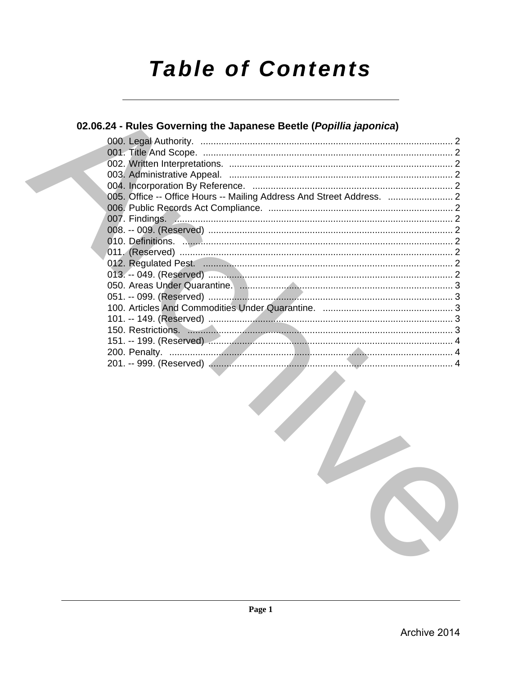# **Table of Contents**

## 02.06.24 - Rules Governing the Japanese Beetle (Popillia japonica)

| 007. Findings. Announcement contracts and contracts and contracts are contracted and contracts are contracted a                                                                                                                |  |
|--------------------------------------------------------------------------------------------------------------------------------------------------------------------------------------------------------------------------------|--|
|                                                                                                                                                                                                                                |  |
|                                                                                                                                                                                                                                |  |
|                                                                                                                                                                                                                                |  |
|                                                                                                                                                                                                                                |  |
|                                                                                                                                                                                                                                |  |
|                                                                                                                                                                                                                                |  |
|                                                                                                                                                                                                                                |  |
|                                                                                                                                                                                                                                |  |
|                                                                                                                                                                                                                                |  |
| 150. Restrictions. 2008. 2009. 2009. 2010. 2010. 2010. 2010. 2010. 2010. 2010. 2010. 2010. 2010. 2010. 2010. 2010. 2010. 2010. 2010. 2010. 2010. 2010. 2010. 2010. 2010. 2010. 2010. 2010. 2010. 2010. 2010. 2010. 2010. 2010. |  |
|                                                                                                                                                                                                                                |  |
|                                                                                                                                                                                                                                |  |
|                                                                                                                                                                                                                                |  |
|                                                                                                                                                                                                                                |  |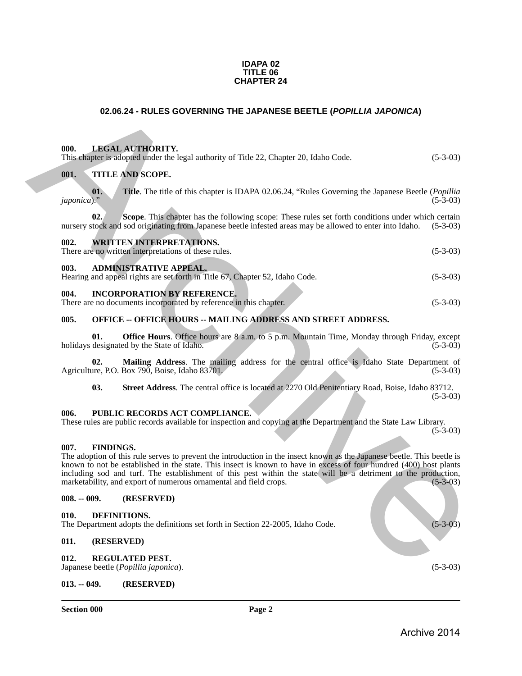#### **IDAPA 02 TITLE 06 CHAPTER 24**

### **02.06.24 - RULES GOVERNING THE JAPANESE BEETLE (***POPILLIA JAPONICA***)**

#### <span id="page-1-2"></span><span id="page-1-1"></span>**000. LEGAL AUTHORITY.**

<span id="page-1-0"></span>

| 02.06.24 - RULES GOVERNING THE JAPANESE BEETLE (POPILLIA JAPONICA)                                                                                                                                                                                                                                                                                                                                                                                               |            |
|------------------------------------------------------------------------------------------------------------------------------------------------------------------------------------------------------------------------------------------------------------------------------------------------------------------------------------------------------------------------------------------------------------------------------------------------------------------|------------|
|                                                                                                                                                                                                                                                                                                                                                                                                                                                                  |            |
| <b>LEGAL AUTHORITY.</b><br>000.<br>This chapter is adopted under the legal authority of Title 22, Chapter 20, Idaho Code.                                                                                                                                                                                                                                                                                                                                        | $(5-3-03)$ |
| 001.<br>TITLE AND SCOPE.                                                                                                                                                                                                                                                                                                                                                                                                                                         |            |
| 01.<br><b>Title.</b> The title of this chapter is IDAPA 02.06.24, "Rules Governing the Japanese Beetle ( <i>Popillia</i><br>japonica)."                                                                                                                                                                                                                                                                                                                          | $(5-3-03)$ |
| 02.<br>Scope. This chapter has the following scope: These rules set forth conditions under which certain<br>nursery stock and sod originating from Japanese beetle infested areas may be allowed to enter into Idaho.                                                                                                                                                                                                                                            | $(5-3-03)$ |
| 002.<br><b>WRITTEN INTERPRETATIONS.</b><br>There are no written interpretations of these rules.                                                                                                                                                                                                                                                                                                                                                                  | $(5-3-03)$ |
| 003.<br><b>ADMINISTRATIVE APPEAL.</b><br>Hearing and appeal rights are set forth in Title 67, Chapter 52, Idaho Code.                                                                                                                                                                                                                                                                                                                                            | $(5-3-03)$ |
| <b>INCORPORATION BY REFERENCE.</b><br>004.<br>There are no documents incorporated by reference in this chapter.                                                                                                                                                                                                                                                                                                                                                  | $(5-3-03)$ |
| 005.<br><b>OFFICE -- OFFICE HOURS -- MAILING ADDRESS AND STREET ADDRESS.</b>                                                                                                                                                                                                                                                                                                                                                                                     |            |
| 01.<br><b>Office Hours.</b> Office hours are 8 a.m. to 5 p.m. Mountain Time, Monday through Friday, except<br>holidays designated by the State of Idaho.                                                                                                                                                                                                                                                                                                         | $(5-3-03)$ |
| Mailing Address. The mailing address for the central office is Idaho State Department of<br>02.<br>Agriculture, P.O. Box 790, Boise, Idaho 83701.                                                                                                                                                                                                                                                                                                                | $(5-3-03)$ |
| 03.<br>Street Address. The central office is located at 2270 Old Penitentiary Road, Boise, Idaho 83712.                                                                                                                                                                                                                                                                                                                                                          | $(5-3-03)$ |
| PUBLIC RECORDS ACT COMPLIANCE.<br>006.                                                                                                                                                                                                                                                                                                                                                                                                                           |            |
| These rules are public records available for inspection and copying at the Department and the State Law Library.                                                                                                                                                                                                                                                                                                                                                 | $(5-3-03)$ |
| 007.<br><b>FINDINGS.</b><br>The adoption of this rule serves to prevent the introduction in the insect known as the Japanese beetle. This beetle is<br>known to not be established in the state. This insect is known to have in excess of four hundred (400) host plants<br>including sod and turf. The establishment of this pest within the state will be a detriment to the production,<br>marketability, and export of numerous ornamental and field crops. | $(5-3-03)$ |
| $008. - 009.$<br>(RESERVED)                                                                                                                                                                                                                                                                                                                                                                                                                                      |            |
| 010.<br>DEFINITIONS.<br>The Department adopts the definitions set forth in Section 22-2005, Idaho Code.                                                                                                                                                                                                                                                                                                                                                          | $(5-3-03)$ |
| 011.<br>(RESERVED)                                                                                                                                                                                                                                                                                                                                                                                                                                               |            |
| 012.<br><b>REGULATED PEST.</b><br>Japanese beetle (Popillia japonica).                                                                                                                                                                                                                                                                                                                                                                                           | $(5-3-03)$ |

<span id="page-1-4"></span><span id="page-1-3"></span>

| Hearing and appeal rights are set forth in Title 67, Chapter 52, Idaho Code. |  |  | $(5-3-03)$ |
|------------------------------------------------------------------------------|--|--|------------|
|                                                                              |  |  |            |

### <span id="page-1-5"></span>**004. INCORPORATION BY REFERENCE.**

| There are no documents incorporated by reference in this chapter. |  |  |  | $(5-3-03)$ |  |
|-------------------------------------------------------------------|--|--|--|------------|--|
|-------------------------------------------------------------------|--|--|--|------------|--|

#### <span id="page-1-6"></span>**005. OFFICE -- OFFICE HOURS -- MAILING ADDRESS AND STREET ADDRESS.**

#### <span id="page-1-7"></span>**006. PUBLIC RECORDS ACT COMPLIANCE.**

#### <span id="page-1-8"></span>**007. FINDINGS.**

### <span id="page-1-9"></span>**008. -- 009. (RESERVED)**

#### <span id="page-1-10"></span>**010. DEFINITIONS.**

### <span id="page-1-11"></span>**011. (RESERVED)**

#### <span id="page-1-14"></span><span id="page-1-12"></span>**012. REGULATED PEST.**

Japanese beetle (*Popillia japonica*). (5-3-03)

#### <span id="page-1-13"></span>**013. -- 049. (RESERVED)**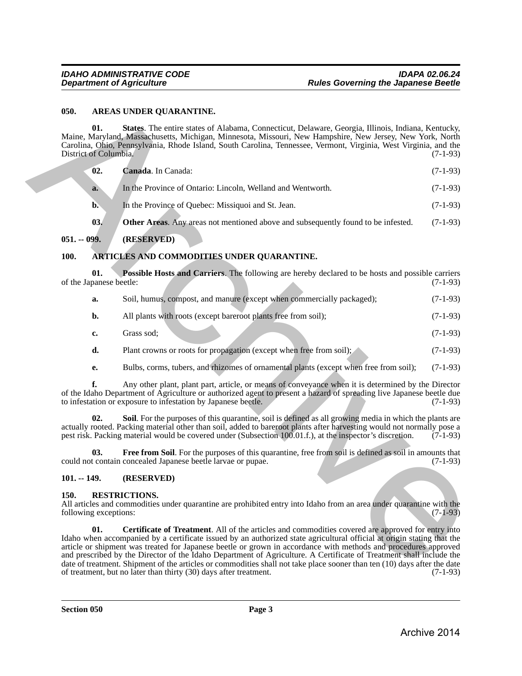#### <span id="page-2-0"></span>**050. AREAS UNDER QUARANTINE.**

**01. States**. The entire states of Alabama, Connecticut, Delaware, Georgia, Illinois, Indiana, Kentucky, Maine, Maryland, Massachusetts, Michigan, Minnesota, Missouri, New Hampshire, New Jersey, New York, North Carolina, Ohio, Pennsylvania, Rhode Island, South Carolina, Tennessee, Vermont, Virginia, West Virginia, and the District of Columbia.

<span id="page-2-7"></span><span id="page-2-5"></span>

| $-02.$ | <b>Canada.</b> In Canada:                                   | $(7-1-93)$ |
|--------|-------------------------------------------------------------|------------|
| a.     | In the Province of Ontario: Lincoln. Welland and Wentworth. | $(7-1-93)$ |

- <span id="page-2-6"></span>**b.** In the Province of Quebec: Missiquoi and St. Jean. (7-1-93)
- **03.** Other Areas. Any areas not mentioned above and subsequently found to be infested. (7-1-93)

### <span id="page-2-1"></span>**051. -- 099. (RESERVED)**

### <span id="page-2-2"></span>**100. ARTICLES AND COMMODITIES UNDER QUARANTINE.**

**01. Possible Hosts and Carriers**. The following are hereby declared to be hosts and possible carriers panese beetle: (7-1-93) of the Japanese beetle:

<span id="page-2-9"></span>

| Soil, humus, compost, and manure (except when commercially packaged); | $(7-1-93)$ |
|-----------------------------------------------------------------------|------------|
|                                                                       |            |

- **b.** All plants with roots (except bareroot plants free from soil); (7-1-93)
- **c.** Grass sod; (7-1-93)
- **d.** Plant crowns or roots for propagation (except when free from soil); (7-1-93)
- <span id="page-2-10"></span>**e.** Bulbs, corms, tubers, and rhizomes of ornamental plants (except when free from soil); (7-1-93)

**f.** Any other plant, plant part, article, or means of conveyance when it is determined by the Director of the Idaho Department of Agriculture or authorized agent to present a hazard of spreading live Japanese beetle due to infestation or exposure to infestation by Japanese beetle.

**02. Soil**. For the purposes of this quarantine, soil is defined as all growing media in which the plants are actually rooted. Packing material other than soil, added to bareroot plants after harvesting would not normally pose a<br>pest risk. Packing material would be covered under (Subsection 100.01.f.), at the inspector's discretio pest risk. Packing material would be covered under (Subsection  $100.01.f$ .), at the inspector's discretion.

<span id="page-2-8"></span>**03. Free from Soil**. For the purposes of this quarantine, free from soil is defined as soil in amounts that could not contain concealed Japanese beetle larvae or pupae. (7-1-93)

### <span id="page-2-3"></span>**101. -- 149. (RESERVED)**

### <span id="page-2-4"></span>**150. RESTRICTIONS.**

<span id="page-2-11"></span>All articles and commodities under quarantine are prohibited entry into Idaho from an area under quarantine with the following exceptions: (7-1-93) following exceptions:

**01. Certificate of Treatment**. All of the articles and commodities covered are approved for entry into Idaho when accompanied by a certificate issued by an authorized state agricultural official at origin stating that the article or shipment was treated for Japanese beetle or grown in accordance with methods and procedures approved and prescribed by the Director of the Idaho Department of Agriculture. A Certificate of Treatment shall include the date of treatment. Shipment of the articles or commodities shall not take place sooner than ten (10) days after the date of treatment. but no later than thirty (30) days after treatment. of treatment, but no later than thirty  $(30)$  days after treatment. **654. AREAS UNDER QUARANTINE.**<br> **SEE The control structure of Alabama, Connecticut Polarizes, Georgia, Bluestic, Keiza, Keiza, Neuron, Alabama, Connecticutes, New Yorkins, New Yorkins, New Yorkins, New Yorkins, New York**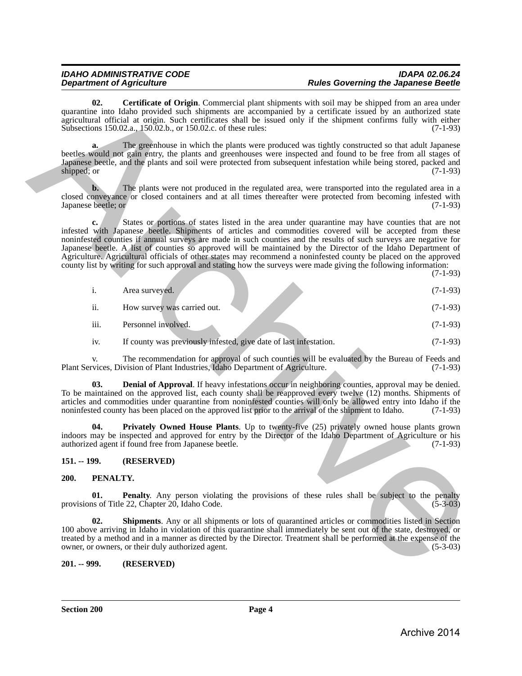# *IDAHO ADMINISTRATIVE CODE IDAPA 02.06.24*

*Rules Governing the Japanese Beetle* 

<span id="page-3-5"></span>**02. Certificate of Origin**. Commercial plant shipments with soil may be shipped from an area under quarantine into Idaho provided such shipments are accompanied by a certificate issued by an authorized state agricultural official at origin. Such certificates shall be issued only if the shipment confirms fully with either Subsections 150.02.a., 150.02.b., or 150.02.c. of these rules: (7-1-93)

**a.** The greenhouse in which the plants were produced was tightly constructed so that adult Japanese beetles would not gain entry, the plants and greenhouses were inspected and found to be free from all stages of Japanese beetle, and the plants and soil were protected from subsequent infestation while being stored, packed and shipped; or  $(7-1-93)$ 

**b.** The plants were not produced in the regulated area, were transported into the regulated area in a closed conveyance or closed containers and at all times thereafter were protected from becoming infested with Japanese beetle: or (7-1-93) Japanese beetle; or

**c.** States or portions of states listed in the area under quarantine may have counties that are not infested with Japanese beetle. Shipments of articles and commodities covered will be accepted from these noninfested counties if annual surveys are made in such counties and the results of such surveys are negative for Japanese beetle. A list of counties so approved will be maintained by the Director of the Idaho Department of Agriculture. Agricultural officials of other states may recommend a noninfested county be placed on the approved county list by writing for such approval and stating how the surveys were made giving the following information: quandre the Liestington (Fortunal plane is the subspace with our may be simpled then a securities of the control of the subspace of the Sobection 1900. As the subspace of the subspace of the subspace of the subspace of t

(7-1-93)

|      | Area surveyed.              | $(7-1-93)$ |
|------|-----------------------------|------------|
| ii.  | How survey was carried out. | $(7-1-93)$ |
| iii. | Personnel involved.         | $(7-1-93)$ |

<span id="page-3-6"></span>iv. If county was previously infested, give date of last infestation. (7-1-93)

v. The recommendation for approval of such counties will be evaluated by the Bureau of Feeds and vices, Division of Plant Industries, Idaho Department of Agriculture. (7-1-93) Plant Services, Division of Plant Industries, Idaho Department of Agriculture.

**03. Denial of Approval**. If heavy infestations occur in neighboring counties, approval may be denied. To be maintained on the approved list, each county shall be reapproved every twelve (12) months. Shipments of articles and commodities under quarantine from noninfested counties will only be allowed entry into Idaho if the noninfested county has been placed on the approved list prior to the arrival of the shipment to Idaho. (7-1-93)

<span id="page-3-7"></span>**04. Privately Owned House Plants**. Up to twenty-five (25) privately owned house plants grown indoors may be inspected and approved for entry by the Director of the Idaho Department of Agriculture or his authorized agent if found free from Japanese beetle.

### <span id="page-3-0"></span>**151. -- 199. (RESERVED)**

### <span id="page-3-1"></span>**200. PENALTY.**

<span id="page-3-3"></span>**01. Penalty**. Any person violating the provisions of these rules shall be subject to the penalty provisions of Title 22, Chapter 20, Idaho Code. (5-3-03)

<span id="page-3-4"></span>**02. Shipments**. Any or all shipments or lots of quarantined articles or commodities listed in Section 100 above arriving in Idaho in violation of this quarantine shall immediately be sent out of the state, destroyed, or treated by a method and in a manner as directed by the Director. Treatment shall be performed at the expense of the owner, or owners, or their duly authorized agent. (5-3-03)

### <span id="page-3-2"></span>**201. -- 999. (RESERVED)**